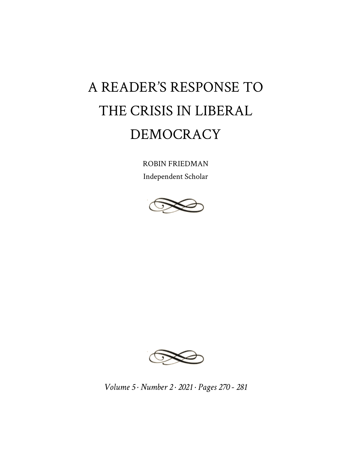# A READER'S RESPONSE TO THE CRISIS IN LIBERAL DEMOCRACY

ROBIN FRIEDMAN Independent Scholar





*Volume 5 · Number 2 · 2021 · Pages 270 - 281*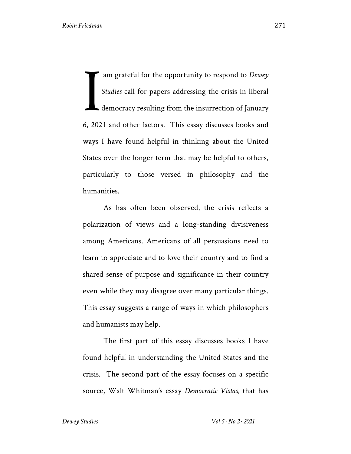am grateful for the opportunity to respond to *Dewey Studies* call for papers addressing the crisis in liberal democracy resulting from the insurrection of January 6, 2021 and other factors. This essay discusses books and ways I have found helpful in thinking about the United States over the longer term that may be helpful to others, particularly to those versed in philosophy and the humanities. I

As has often been observed, the crisis reflects a polarization of views and a long-standing divisiveness among Americans. Americans of all persuasions need to learn to appreciate and to love their country and to find a shared sense of purpose and significance in their country even while they may disagree over many particular things. This essay suggests a range of ways in which philosophers and humanists may help.

The first part of this essay discusses books I have found helpful in understanding the United States and the crisis. The second part of the essay focuses on a specific source, Walt Whitman's essay *Democratic Vistas,* that has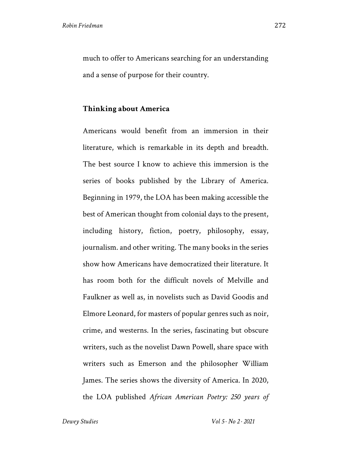much to offer to Americans searching for an understanding and a sense of purpose for their country.

### **Thinking about America**

Americans would benefit from an immersion in their literature, which is remarkable in its depth and breadth. The best source I know to achieve this immersion is the series of books published by the Library of America. Beginning in 1979, the LOA has been making accessible the best of American thought from colonial days to the present, including history, fiction, poetry, philosophy, essay, journalism. and other writing. The many books in the series show how Americans have democratized their literature. It has room both for the difficult novels of Melville and Faulkner as well as, in novelists such as David Goodis and Elmore Leonard, for masters of popular genres such as noir, crime, and westerns. In the series, fascinating but obscure writers, such as the novelist Dawn Powell, share space with writers such as Emerson and the philosopher William James. The series shows the diversity of America. In 2020, the LOA published *African American Poetry: 250 years of*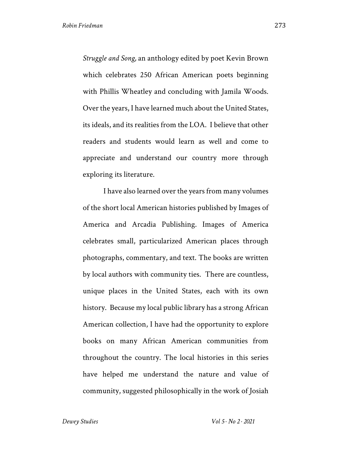*Struggle and Song,* an anthology edited by poet Kevin Brown which celebrates 250 African American poets beginning with Phillis Wheatley and concluding with Jamila Woods. Over the years, I have learned much about the United States, its ideals, and its realities from the LOA. I believe that other readers and students would learn as well and come to appreciate and understand our country more through exploring its literature.

I have also learned over the years from many volumes of the short local American histories published by Images of America and Arcadia Publishing. Images of America celebrates small, particularized American places through photographs, commentary, and text. The books are written by local authors with community ties. There are countless, unique places in the United States, each with its own history. Because my local public library has a strong African American collection, I have had the opportunity to explore books on many African American communities from throughout the country. The local histories in this series have helped me understand the nature and value of community, suggested philosophically in the work of Josiah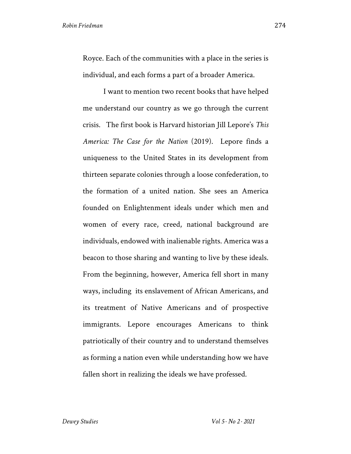Royce. Each of the communities with a place in the series is individual, and each forms a part of a broader America.

I want to mention two recent books that have helped me understand our country as we go through the current crisis. The first book is Harvard historian Jill Lepore's *This America: The Case for the Nation* (2019). Lepore finds a uniqueness to the United States in its development from thirteen separate colonies through a loose confederation, to the formation of a united nation. She sees an America founded on Enlightenment ideals under which men and women of every race, creed, national background are individuals, endowed with inalienable rights. America was a beacon to those sharing and wanting to live by these ideals. From the beginning, however, America fell short in many ways, including its enslavement of African Americans, and its treatment of Native Americans and of prospective immigrants. Lepore encourages Americans to think patriotically of their country and to understand themselves as forming a nation even while understanding how we have fallen short in realizing the ideals we have professed.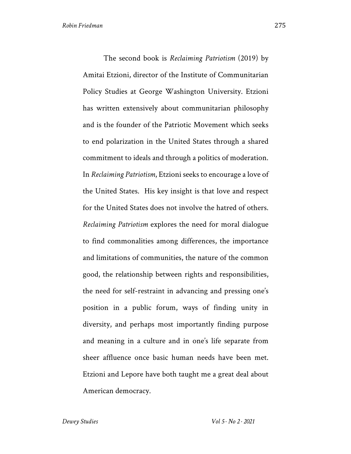The second book is *Reclaiming Patriotism* (2019) by Amitai Etzioni, director of the Institute of Communitarian Policy Studies at George Washington University. Etzioni has written extensively about communitarian philosophy and is the founder of the Patriotic Movement which seeks to end polarization in the United States through a shared commitment to ideals and through a politics of moderation. In *Reclaiming Patriotism*, Etzioni seeks to encourage a love of the United States. His key insight is that love and respect for the United States does not involve the hatred of others. *Reclaiming Patriotism* explores the need for moral dialogue to find commonalities among differences, the importance and limitations of communities, the nature of the common good, the relationship between rights and responsibilities, the need for self-restraint in advancing and pressing one's position in a public forum, ways of finding unity in diversity, and perhaps most importantly finding purpose and meaning in a culture and in one's life separate from sheer affluence once basic human needs have been met. Etzioni and Lepore have both taught me a great deal about American democracy.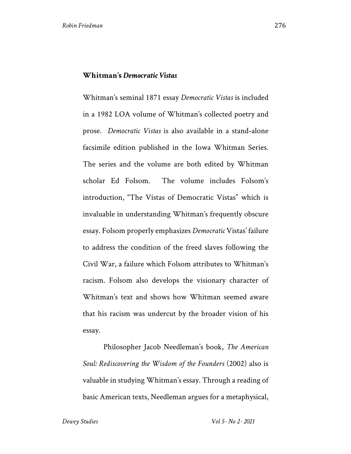## **Whitman's** *Democratic Vistas*

Whitman's seminal 1871 essay *Democratic Vistas* is included in a 1982 LOA volume of Whitman's collected poetry and prose. *Democratic Vistas* is also available in a stand-alone facsimile edition published in the Iowa Whitman Series. The series and the volume are both edited by Whitman scholar Ed Folsom. The volume includes Folsom's introduction, "The Vistas of Democratic Vistas" which is invaluable in understanding Whitman's frequently obscure essay. Folsom properly emphasizes *Democratic* Vistas' failure to address the condition of the freed slaves following the Civil War, a failure which Folsom attributes to Whitman's racism. Folsom also develops the visionary character of Whitman's text and shows how Whitman seemed aware that his racism was undercut by the broader vision of his essay.

Philosopher Jacob Needleman's book, *The American Soul: Rediscovering the Wisdom of the Founders* (2002) also is valuable in studying Whitman's essay. Through a reading of basic American texts, Needleman argues for a metaphysical,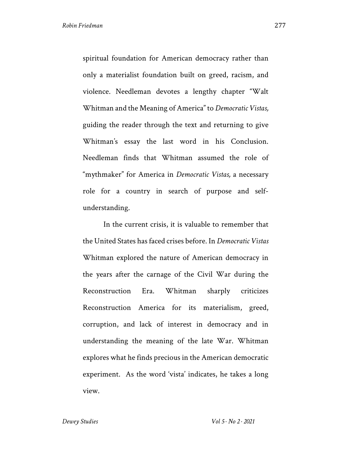spiritual foundation for American democracy rather than only a materialist foundation built on greed, racism, and violence. Needleman devotes a lengthy chapter "Walt Whitman and the Meaning of America" to *Democratic Vistas,*  guiding the reader through the text and returning to give Whitman's essay the last word in his Conclusion. Needleman finds that Whitman assumed the role of "mythmaker" for America in *Democratic Vistas,* a necessary role for a country in search of purpose and selfunderstanding.

In the current crisis, it is valuable to remember that the United States has faced crises before. In *Democratic Vistas* Whitman explored the nature of American democracy in the years after the carnage of the Civil War during the Reconstruction Era. Whitman sharply criticizes Reconstruction America for its materialism, greed, corruption, and lack of interest in democracy and in understanding the meaning of the late War. Whitman explores what he finds precious in the American democratic experiment. As the word 'vista' indicates, he takes a long view.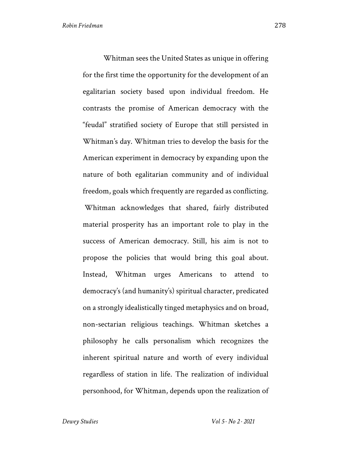Whitman sees the United States as unique in offering for the first time the opportunity for the development of an egalitarian society based upon individual freedom. He contrasts the promise of American democracy with the "feudal" stratified society of Europe that still persisted in Whitman's day. Whitman tries to develop the basis for the American experiment in democracy by expanding upon the nature of both egalitarian community and of individual freedom, goals which frequently are regarded as conflicting. Whitman acknowledges that shared, fairly distributed material prosperity has an important role to play in the success of American democracy. Still, his aim is not to propose the policies that would bring this goal about. Instead, Whitman urges Americans to attend to democracy's (and humanity's) spiritual character, predicated on a strongly idealistically tinged metaphysics and on broad, non-sectarian religious teachings. Whitman sketches a philosophy he calls personalism which recognizes the inherent spiritual nature and worth of every individual regardless of station in life. The realization of individual personhood, for Whitman, depends upon the realization of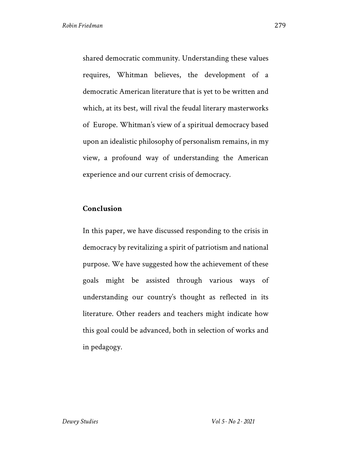shared democratic community. Understanding these values requires, Whitman believes, the development of a democratic American literature that is yet to be written and which, at its best, will rival the feudal literary masterworks of Europe. Whitman's view of a spiritual democracy based upon an idealistic philosophy of personalism remains, in my view, a profound way of understanding the American experience and our current crisis of democracy.

# **Conclusion**

In this paper, we have discussed responding to the crisis in democracy by revitalizing a spirit of patriotism and national purpose. We have suggested how the achievement of these goals might be assisted through various ways of understanding our country's thought as reflected in its literature. Other readers and teachers might indicate how this goal could be advanced, both in selection of works and in pedagogy.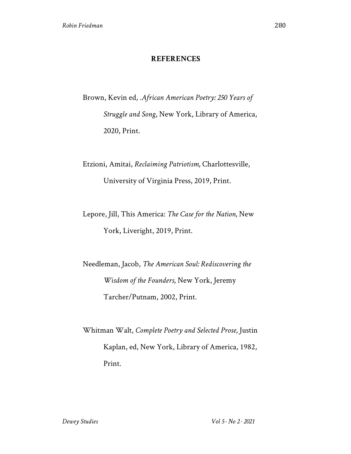### **REFERENCES**

Brown, Kevin ed, .*African American Poetry: 250 Years of Struggle and Song*, New York, Library of America, 2020, Print.

Etzioni, Amitai, *Reclaiming Patriotism,* Charlottesville, University of Virginia Press, 2019, Print.

Lepore, Jill, This America: *The Case for the Nation,* New York, Liveright, 2019, Print.

Needleman, Jacob, *The American Soul: Rediscovering the Wisdom of the Founders,* New York, Jeremy Tarcher/Putnam, 2002, Print.

Whitman Walt, *Complete Poetry and Selected Prose,* Justin Kaplan, ed, New York, Library of America, 1982, Print.